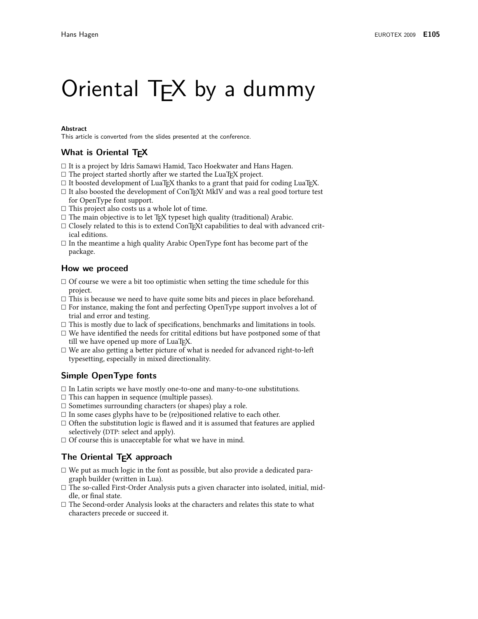# Oriental T<sub>F</sub>X by a dummy

#### **Abstract**

This article is converted from the slides presented at the conference.

## What is Oriental TEX

- $\Box$  It is a project by Idris Samawi Hamid, Taco Hoekwater and Hans Hagen.
- $\Box$  The project started shortly after we started the LuaT<sub>F</sub>X project.
- $\Box$  It boosted development of LuaT<sub>F</sub>X thanks to a grant that paid for coding LuaT<sub>F</sub>X.
- $\Box$  It also boosted the development of ConT<sub>F</sub>Xt MkIV and was a real good torture test for OpenType font support.
- $\Box$  This project also costs us a whole lot of time.
- $\Box$  The main objective is to let TEX typeset high quality (traditional) Arabic.
- $\Box$  Closely related to this is to extend ConT<sub>E</sub>Xt capabilities to deal with advanced critical editions.
- $\Box$  In the meantime a high quality Arabic OpenType font has become part of the package.

## How we proceed

- $\Box$  Of course we were a bit too optimistic when setting the time schedule for this project.
- $\Box$  This is because we need to have quite some bits and pieces in place beforehand.
- $\Box$  For instance, making the font and perfecting OpenType support involves a lot of trial and error and testing.
- $\Box$  This is mostly due to lack of specifications, benchmarks and limitations in tools.
- $\square$  We have identified the needs for critital editions but have postponed some of that till we have opened up more of LuaT<sub>F</sub>X.
- $\Box$  We are also getting a better picture of what is needed for advanced right-to-left typesetting, especially in mixed directionality.

## **Simple OpenType fonts**

- $\Box$  In Latin scripts we have mostly one-to-one and many-to-one substitutions.
- $\Box$  This can happen in sequence (multiple passes).
- $\Box$  Sometimes surrounding characters (or shapes) play a role.
- $\square$  In some cases glyphs have to be (re)positioned relative to each other.
- $\Box$  Often the substitution logic is flawed and it is assumed that features are applied selectively (DTP: select and apply).
- $\Box$  Of course this is unacceptable for what we have in mind.

## The Oriental T<sub>E</sub>X approach

- $\Box$  We put as much logic in the font as possible, but also provide a dedicated paragraph builder (written in Lua).
- $\Box$  The so-called First-Order Analysis puts a given character into isolated, initial, middle, or final state.
- $\Box$  The Second-order Analysis looks at the characters and relates this state to what characters precede or succeed it.